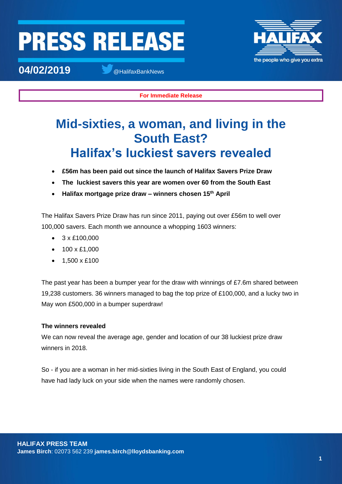### **PRESS RELEASE**



**04/02/2019** @HalifaxBankNews



**For Immediate Release**

### **Mid-sixties, a woman, and living in the South East? Halifax's luckiest savers revealed**

- **£56m has been paid out since the launch of Halifax Savers Prize Draw**
- **The luckiest savers this year are women over 60 from the South East**
- **Halifax mortgage prize draw – winners chosen 15th April**

The Halifax Savers Prize Draw has run since 2011, paying out over £56m to well over 100,000 savers. Each month we announce a whopping 1603 winners:

- $\bullet$  3 x £100,000
- $\bullet$  100 x £1,000
- $\bullet$  1,500 x £100

The past year has been a bumper year for the draw with winnings of £7.6m shared between 19,238 customers. 36 winners managed to bag the top prize of £100,000, and a lucky two in May won £500,000 in a bumper superdraw!

### **The winners revealed**

We can now reveal the average age, gender and location of our 38 luckiest prize draw winners in 2018.

So - if you are a woman in her mid-sixties living in the South East of England, you could have had lady luck on your side when the names were randomly chosen.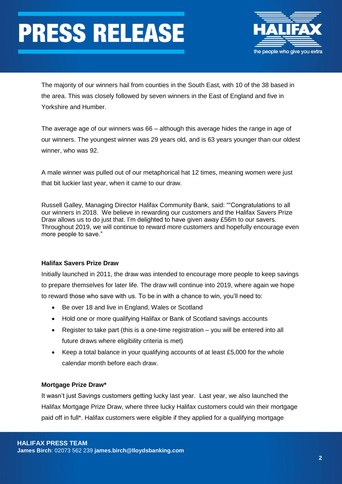# **PRESS RELEASE**



The majority of our winners hail from counties in the South East, with 10 of the 38 based in the area. This was closely followed by seven winners in the East of England and five in Yorkshire and Humber.

The average age of our winners was 66 – although this average hides the range in age of our winners. The youngest winner was 29 years old, and is 63 years younger than our oldest winner, who was 92.

A male winner was pulled out of our metaphorical hat 12 times, meaning women were just that bit luckier last year, when it came to our draw.

Russell Galley, Managing Director Halifax Community Bank, said: ""Congratulations to all our winners in 2018. We believe in rewarding our customers and the Halifax Savers Prize Draw allows us to do just that. I'm delighted to have given away £56m to our savers. Throughout 2019, we will continue to reward more customers and hopefully encourage even more people to save."

### **Halifax Savers Prize Draw**

Initially launched in 2011, the draw was intended to encourage more people to keep savings to prepare themselves for later life. The draw will continue into 2019, where again we hope to reward those who save with us. To be in with a chance to win, you'll need to:

- Be over 18 and live in England, Wales or Scotland
- Hold one or more qualifying Halifax or Bank of Scotland savings accounts
- Register to take part (this is a one-time registration you will be entered into all future draws where eligibility criteria is met)
- Keep a total balance in your qualifying accounts of at least £5,000 for the whole calendar month before each draw.

#### **Mortgage Prize Draw\***

It wasn't just Savings customers getting lucky last year. Last year, we also launched the Halifax Mortgage Prize Draw, where three lucky Halifax customers could win their mortgage paid off in full\*. Halifax customers were eligible if they applied for a qualifying mortgage